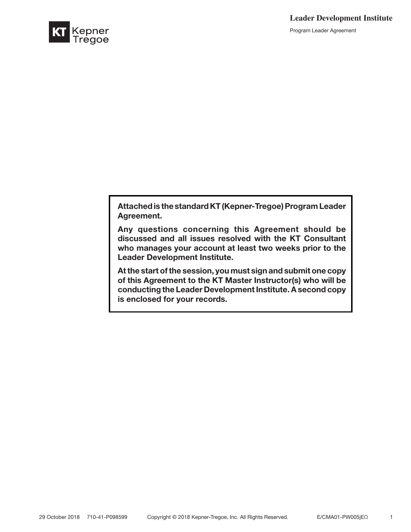Program Leader Agreement



Attached is the standard KT (Kepner-Tregoe) Program Leader Agreement.

Any questions concerning this Agreement should be discussed and all issues resolved with the KT Consultant who manages your account at least two weeks prior to the Leader Development Institute.

At the start of the session, you must sign and submit one copy of this Agreement to the KT Master Instructor(s) who will be conducting the Leader Development Institute. A second copy is enclosed for your records.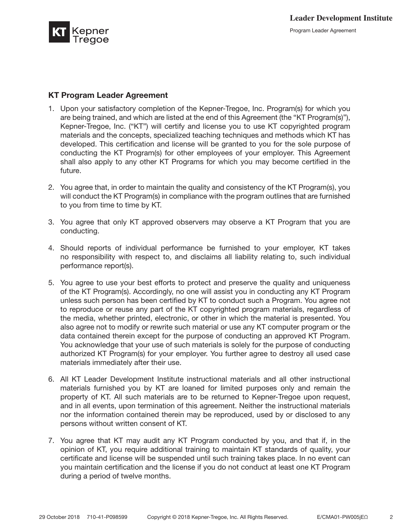

## KT Program Leader Agreement

- 1. Upon your satisfactory completion of the Kepner-Tregoe, Inc. Program(s) for which you are being trained, and which are listed at the end of this Agreement (the "KT Program(s)"), Kepner-Tregoe, Inc. ("KT") will certify and license you to use KT copyrighted program materials and the concepts, specialized teaching techniques and methods which KT has developed. This certification and license will be granted to you for the sole purpose of conducting the KT Program(s) for other employees of your employer. This Agreement shall also apply to any other KT Programs for which you may become certified in the future.
- 2. You agree that, in order to maintain the quality and consistency of the KT Program(s), you will conduct the KT Program(s) in compliance with the program outlines that are furnished to you from time to time by KT.
- 3. You agree that only KT approved observers may observe a KT Program that you are conducting.
- 4. Should reports of individual performance be furnished to your employer, KT takes no responsibility with respect to, and disclaims all liability relating to, such individual performance report(s).
- 5. You agree to use your best efforts to protect and preserve the quality and uniqueness of the KT Program(s). Accordingly, no one will assist you in conducting any KT Program unless such person has been certified by KT to conduct such a Program. You agree not to reproduce or reuse any part of the KT copyrighted program materials, regardless of the media, whether printed, electronic, or other in which the material is presented. You also agree not to modify or rewrite such material or use any KT computer program or the data contained therein except for the purpose of conducting an approved KT Program. You acknowledge that your use of such materials is solely for the purpose of conducting authorized KT Program(s) for your employer. You further agree to destroy all used case materials immediately after their use.
- 6. All KT Leader Development Institute instructional materials and all other instructional materials furnished you by KT are loaned for limited purposes only and remain the property of KT. All such materials are to be returned to Kepner-Tregoe upon request, and in all events, upon termination of this agreement. Neither the instructional materials nor the information contained therein may be reproduced, used by or disclosed to any persons without written consent of KT.
- 7. You agree that KT may audit any KT Program conducted by you, and that if, in the opinion of KT, you require additional training to maintain KT standards of quality, your certificate and license will be suspended until such training takes place. In no event can you maintain certification and the license if you do not conduct at least one KT Program during a period of twelve months.